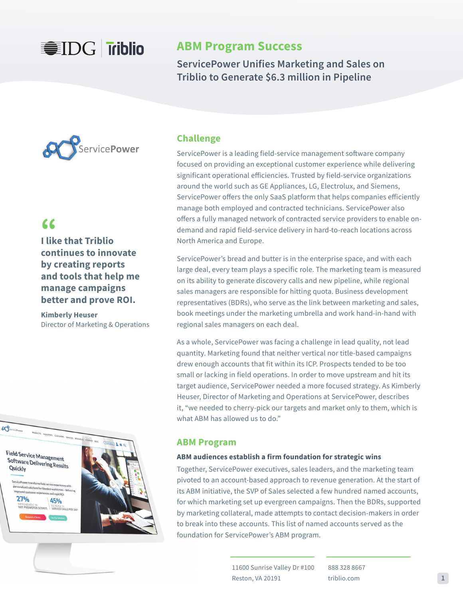# **WIDG Triblio**

## **ABM Program Success**

**ServicePower Unifies Marketing and Sales on Triblio to Generate \$6.3 million in Pipeline**



## **"**

**I like that Triblio continues to innovate by creating reports and tools that help me manage campaigns better and prove ROI.**

**Kimberly Heuser** Director of Marketing & Operations



### **Challenge**

ServicePower is a leading field-service management software company focused on providing an exceptional customer experience while delivering significant operational efficiencies. Trusted by field-service organizations around the world such as GE Appliances, LG, Electrolux, and Siemens, ServicePower offers the only SaaS platform that helps companies efficiently manage both employed and contracted technicians. ServicePower also offers a fully managed network of contracted service providers to enable ondemand and rapid field-service delivery in hard-to-reach locations across North America and Europe.

ServicePower's bread and butter is in the enterprise space, and with each large deal, every team plays a specific role. The marketing team is measured on its ability to generate discovery calls and new pipeline, while regional sales managers are responsible for hitting quota. Business development representatives (BDRs), who serve as the link between marketing and sales, book meetings under the marketing umbrella and work hand-in-hand with regional sales managers on each deal.

As a whole, ServicePower was facing a challenge in lead quality, not lead quantity. Marketing found that neither vertical nor title-based campaigns drew enough accounts that fit within its ICP. Prospects tended to be too small or lacking in field operations. In order to move upstream and hit its target audience, ServicePower needed a more focused strategy. As Kimberly Heuser, Director of Marketing and Operations at ServicePower, describes it, "we needed to cherry-pick our targets and market only to them, which is what ABM has allowed us to do."

### **ABM Program**

### **ABM audiences establish a firm foundation for strategic wins**

Together, ServicePower executives, sales leaders, and the marketing team pivoted to an account-based approach to revenue generation. At the start of its ABM initiative, the SVP of Sales selected a few hundred named accounts, for which marketing set up evergreen campaigns. Then the BDRs, supported by marketing collateral, made attempts to contact decision-makers in order to break into these accounts. This list of named accounts served as the foundation for ServicePower's ABM program.

> 11600 Sunrise Valley Dr #100 Reston, VA 20191

888 328 8667 triblio.com **1**